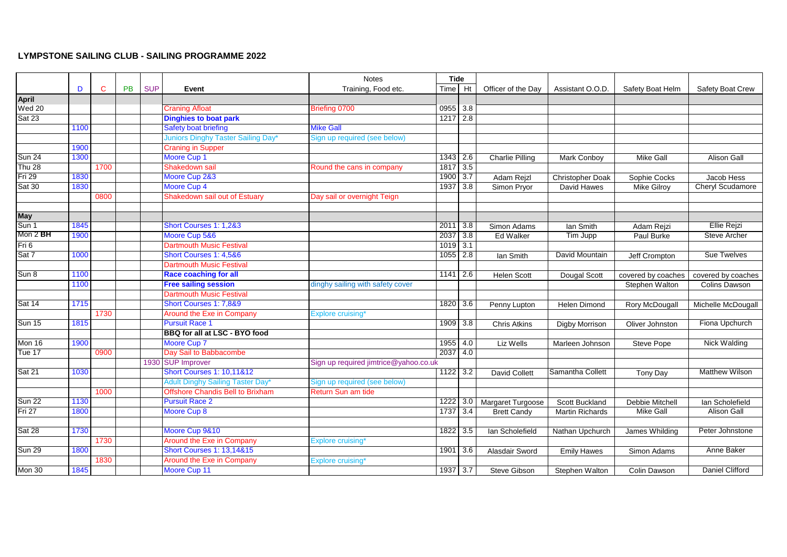## **LYMPSTONE SAILING CLUB - SAILING PROGRAMME 2022**

|               |      |      |           |            |                                         | <b>Notes</b>                          | <b>Tide</b> |                  |                        |                        |                    |                         |
|---------------|------|------|-----------|------------|-----------------------------------------|---------------------------------------|-------------|------------------|------------------------|------------------------|--------------------|-------------------------|
|               | D    | C    | <b>PB</b> | <b>SUP</b> | Event                                   | Training, Food etc.                   | Time        | Ht               | Officer of the Day     | Assistant O.O.D.       | Safety Boat Helm   | Safety Boat Crew        |
| <b>April</b>  |      |      |           |            |                                         |                                       |             |                  |                        |                        |                    |                         |
| <b>Wed 20</b> |      |      |           |            | <b>Craning Afloat</b>                   | Briefing 0700                         | 0955        | 3.8              |                        |                        |                    |                         |
| <b>Sat 23</b> |      |      |           |            | <b>Dinghies to boat park</b>            |                                       | $1217$ 2.8  |                  |                        |                        |                    |                         |
|               | 1100 |      |           |            | Safety boat briefing                    | <b>Mike Gall</b>                      |             |                  |                        |                        |                    |                         |
|               |      |      |           |            | Juniors Dinghy Taster Sailing Day*      | Sign up required (see below)          |             |                  |                        |                        |                    |                         |
|               | 1900 |      |           |            | <b>Craning in Supper</b>                |                                       |             |                  |                        |                        |                    |                         |
| <b>Sun 24</b> | 1300 |      |           |            | Moore Cup 1                             |                                       | 1343        | 2.6              | <b>Charlie Pilling</b> | <b>Mark Conboy</b>     | Mike Gall          | <b>Alison Gall</b>      |
| Thu $28$      |      | 1700 |           |            | Shakedown sail                          | Round the cans in company             | 1817        | 3.5              |                        |                        |                    |                         |
| Fri 29        | 1830 |      |           |            | Moore Cup 2&3                           |                                       | 1900        | 3.7              | Adam Rejzl             | Christopher Doak       | Sophie Cocks       | Jacob Hess              |
| <b>Sat 30</b> | 1830 |      |           |            | Moore Cup 4                             |                                       | 1937        | 3.8              | Simon Pryor            | David Hawes            | <b>Mike Gilroy</b> | <b>Cheryl Scudamore</b> |
|               |      | 0800 |           |            | <b>Shakedown sail out of Estuary</b>    | Day sail or overnight Teign           |             |                  |                        |                        |                    |                         |
|               |      |      |           |            |                                         |                                       |             |                  |                        |                        |                    |                         |
| <b>May</b>    |      |      |           |            |                                         |                                       |             |                  |                        |                        |                    |                         |
| Sun 1         | 1845 |      |           |            | Short Courses 1: 1,2&3                  |                                       | 2011        | 3.8              | Simon Adams            | lan Smith              | Adam Rejzi         | Ellie Rejzi             |
| Mon 2 BH      | 1900 |      |           |            | Moore Cup 5&6                           |                                       | 2037        | 3.8              | Ed Walker              | Tim Jupp               | Paul Burke         | <b>Steve Archer</b>     |
| Fri 6         |      |      |           |            | <b>Dartmouth Music Festival</b>         |                                       | 1019        | 3.1              |                        |                        |                    |                         |
| Sat 7         | 1000 |      |           |            | Short Courses 1: 4,5&6                  |                                       | 1055        | 2.8              | lan Smith              | David Mountain         | Jeff Crompton      | <b>Sue Twelves</b>      |
|               |      |      |           |            | <b>Dartmouth Music Festival</b>         |                                       |             |                  |                        |                        |                    |                         |
| Sun 8         | 1100 |      |           |            | <b>Race coaching for all</b>            |                                       | 1141        | $\overline{2.6}$ | <b>Helen Scott</b>     | Dougal Scott           | covered by coaches | covered by coaches      |
|               | 1100 |      |           |            | <b>Free sailing session</b>             | dinghy sailing with safety cover      |             |                  |                        |                        | Stephen Walton     | Colins Dawson           |
|               |      |      |           |            | <b>Dartmouth Music Festival</b>         |                                       |             |                  |                        |                        |                    |                         |
| Sat 14        | 1715 |      |           |            | Short Courses 1: 7,8&9                  |                                       | 1820        | 3.6              | Penny Lupton           | <b>Helen Dimond</b>    | Rory McDougall     | Michelle McDougall      |
|               |      | 1730 |           |            | Around the Exe in Company               | Explore cruising*                     |             |                  |                        |                        |                    |                         |
| <b>Sun 15</b> | 1815 |      |           |            | <b>Pursuit Race 1</b>                   |                                       | 1909 3.8    |                  | <b>Chris Atkins</b>    | Digby Morrison         | Oliver Johnston    | Fiona Upchurch          |
|               |      |      |           |            | BBQ for all at LSC - BYO food           |                                       |             |                  |                        |                        |                    |                         |
| Mon 16        | 1900 |      |           |            | Moore Cup 7                             |                                       | 1955        | 4.0              | Liz Wells              | Marleen Johnson        | Steve Pope         | Nick Walding            |
| Tue 17        |      | 0900 |           |            | Day Sail to Babbacombe                  |                                       | 2037        | 4.0              |                        |                        |                    |                         |
|               |      |      |           |            | 1930 SUP Improver                       | Sign up required jimtrice@yahoo.co.uk |             |                  |                        |                        |                    |                         |
| Sat 21        | 1030 |      |           |            | <b>Short Courses 1: 10,11&amp;12</b>    |                                       | 1122        | 3.2              | David Collett          | Samantha Collett       | <b>Tony Day</b>    | <b>Matthew Wilson</b>   |
|               |      |      |           |            | Adult Dinghy Sailing Taster Day*        | Sign up required (see below)          |             |                  |                        |                        |                    |                         |
|               |      | 1000 |           |            | <b>Offshore Chandis Bell to Brixham</b> | Return Sun am tide                    |             |                  |                        |                        |                    |                         |
| <b>Sun 22</b> | 1130 |      |           |            | <b>Pursuit Race 2</b>                   |                                       | $1222$ 3.0  |                  | Margaret Turgoose      | Scott Buckland         | Debbie Mitchell    | Ian Scholefield         |
| First 27      | 1800 |      |           |            | Moore Cup 8                             |                                       | 1737        | 3.4              | <b>Brett Candy</b>     | <b>Martin Richards</b> | <b>Mike Gall</b>   | <b>Alison Gall</b>      |
|               |      |      |           |            |                                         |                                       |             |                  |                        |                        |                    |                         |
| Sat 28        | 1730 |      |           |            | Moore Cup 9&10                          |                                       | 1822 3.5    |                  | Ian Scholefield        | Nathan Upchurch        | James Whilding     | Peter Johnstone         |
|               |      | 1730 |           |            | Around the Exe in Company               | Explore cruising*                     |             |                  |                        |                        |                    |                         |
| <b>Sun 29</b> | 1800 |      |           |            | <b>Short Courses 1: 13,14&amp;15</b>    |                                       | 1901        | 3.6              | Alasdair Sword         | <b>Emily Hawes</b>     | Simon Adams        | Anne Baker              |
|               |      | 1830 |           |            | Around the Exe in Company               | Explore cruising*                     |             |                  |                        |                        |                    |                         |
| Mon 30        | 1845 |      |           |            | Moore Cup 11                            |                                       | 1937 3.7    |                  | Steve Gibson           | Stephen Walton         | Colin Dawson       | <b>Daniel Clifford</b>  |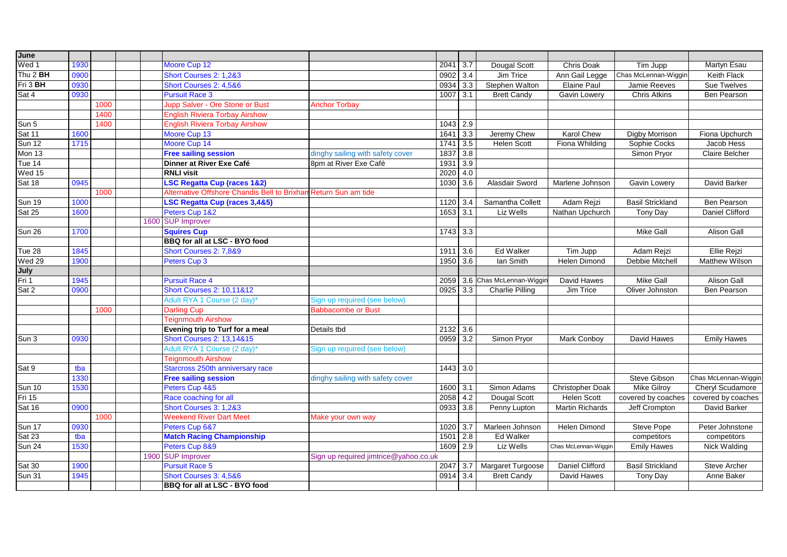| June                       |      |      |      |                                                                 |                                       |            |                  |                               |                        |                         |                        |
|----------------------------|------|------|------|-----------------------------------------------------------------|---------------------------------------|------------|------------------|-------------------------------|------------------------|-------------------------|------------------------|
| Wed 1                      | 1930 |      |      | Moore Cup 12                                                    |                                       | 2041       | 3.7              | Dougal Scott                  | Chris Doak             | Tim Jupp                | Martyn Esau            |
| Thu 2 BH                   | 0900 |      |      | Short Courses 2: 1,2&3                                          |                                       | 0902       | 3.4              | Jim Trice                     | Ann Gail Legge         | Chas McLennan-Wiggin    | Keith Flack            |
| Fri 3 BH                   | 0930 |      |      | Short Courses 2: 4,5&6                                          |                                       | 0934       | $\overline{3.3}$ | Stephen Walton                | Elaine Paul            | Jamie Reeves            | Sue Twelves            |
| Sat 4                      | 0930 |      |      | <b>Pursuit Race 3</b>                                           |                                       | 1007       | $\overline{3.1}$ | <b>Brett Candy</b>            | Gavin Lowery           | <b>Chris Atkins</b>     | Ben Pearson            |
|                            |      | 1000 |      | Jupp Salver - Ore Stone or Bust                                 | <b>Anchor Torbay</b>                  |            |                  |                               |                        |                         |                        |
|                            |      | 1400 |      | <b>English Riviera Torbay Airshow</b>                           |                                       |            |                  |                               |                        |                         |                        |
| Sun 5                      |      | 1400 |      | <b>English Riviera Torbay Airshow</b>                           |                                       | 1043       | 2.9              |                               |                        |                         |                        |
| Sat 11                     | 1600 |      |      | Moore Cup 13                                                    |                                       | 1641       | 3.3              | Jeremy Chew                   | <b>Karol Chew</b>      | <b>Digby Morrison</b>   | Fiona Upchurch         |
| <b>Sun 12</b>              | 1715 |      |      | Moore Cup 14                                                    |                                       | 1741       | 3.5              | <b>Helen Scott</b>            | Fiona Whilding         | Sophie Cocks            | Jacob Hess             |
| Mon $13$                   |      |      |      | <b>Free sailing session</b>                                     | dinghy sailing with safety cover      | 1837       | $\overline{3.8}$ |                               |                        | Simon Pryor             | Claire Belcher         |
| Tue 14                     |      |      |      | Dinner at River Exe Café                                        | 8pm at River Exe Café                 | 1931       | 3.9              |                               |                        |                         |                        |
| Wed $15$                   |      |      |      | <b>RNLI visit</b>                                               |                                       | 2020       | 4.0              |                               |                        |                         |                        |
| Sat 18                     | 0945 |      |      | LSC Regatta Cup (races 1&2)                                     |                                       | 1030       | 3.6              | Alasdair Sword                | Marlene Johnson        | Gavin Lowery            | David Barker           |
|                            |      | 1000 |      | Alternative Offshore Chandis Bell to Brixham Return Sun am tide |                                       |            |                  |                               |                        |                         |                        |
| <b>Sun 19</b>              | 1000 |      |      | <b>SC Regatta Cup (races 3,4&amp;5)</b>                         |                                       | 1120       | 3.4              | Samantha Collett              | Adam Rejzi             | <b>Basil Strickland</b> | <b>Ben Pearson</b>     |
| $\overline{\text{Sat }25}$ | 1600 |      |      | Peters Cup 1&2                                                  |                                       | $1653$ 3.1 |                  | Liz Wells                     | Nathan Upchurch        | Tony Day                | <b>Daniel Clifford</b> |
|                            |      |      |      | 1600 SUP Improver                                               |                                       |            |                  |                               |                        |                         |                        |
| <b>Sun 26</b>              | 1700 |      |      | <b>Squires Cup</b>                                              |                                       | 1743       | 3.3              |                               |                        | <b>Mike Gall</b>        | <b>Alison Gall</b>     |
|                            |      |      |      | BBQ for all at LSC - BYO food                                   |                                       |            |                  |                               |                        |                         |                        |
| Tue 28                     | 1845 |      |      | Short Courses 2: 7,8&9                                          |                                       | 1911 3.6   |                  | Ed Walker                     | Tim Jupp               | Adam Rejzi              | Ellie Rejzi            |
| Wed 29                     | 1900 |      |      | Peters Cup 3                                                    |                                       | 1950       | 3.6              | lan Smith                     | <b>Helen Dimond</b>    | Debbie Mitchell         | <b>Matthew Wilson</b>  |
| July                       |      |      |      |                                                                 |                                       |            |                  |                               |                        |                         |                        |
| Fri 1                      | 1945 |      |      | <b>Pursuit Race 4</b>                                           |                                       |            |                  | 2059 3.6 Chas McLennan-Wiggir | David Hawes            | <b>Mike Gall</b>        | <b>Alison Gall</b>     |
| $\overline{\text{Sat 2}}$  | 0900 |      |      | <b>Short Courses 2: 10,11&amp;12</b>                            |                                       | 0925 3.3   |                  | <b>Charlie Pilling</b>        | Jim Trice              | Oliver Johnston         | Ben Pearson            |
|                            |      |      |      | Adult RYA 1 Course (2 day)*                                     | Sign up required (see below)          |            |                  |                               |                        |                         |                        |
|                            |      | 1000 |      | <b>Darling Cup</b>                                              | <b>Babbacombe or Bust</b>             |            |                  |                               |                        |                         |                        |
|                            |      |      |      | <b>Teignmouth Airshow</b>                                       |                                       |            |                  |                               |                        |                         |                        |
|                            |      |      |      | Evening trip to Turf for a meal                                 | Details tbd                           | 2132 3.6   |                  |                               |                        |                         |                        |
| Sun 3                      | 0930 |      |      | <b>Short Courses 2: 13,14&amp;15</b>                            |                                       | 0959       | 3.2              | Simon Pryor                   | Mark Conboy            | David Hawes             | <b>Emily Hawes</b>     |
|                            |      |      |      | Adult RYA 1 Course (2 day)*                                     | Sign up required (see below)          |            |                  |                               |                        |                         |                        |
|                            |      |      |      | <b>Teignmouth Airshow</b>                                       |                                       |            |                  |                               |                        |                         |                        |
| Sat 9                      | tba  |      |      | Starcross 250th anniversary race                                |                                       | 1443 3.0   |                  |                               |                        |                         |                        |
|                            | 1330 |      |      | <b>Free sailing session</b>                                     | dinghy sailing with safety cover      |            |                  |                               |                        | Steve Gibson            | Chas McLennan-Wiggin   |
| <b>Sun 10</b>              | 1530 |      |      | Peters Cup 4&5                                                  |                                       | 1600       | 3.1              | Simon Adams                   | Christopher Doak       | Mike Gilroy             | Cheryl Scudamore       |
| Fri 15                     |      |      |      | Race coaching for all                                           |                                       | 2058       | 4.2              | Dougal Scott                  | <b>Helen Scott</b>     | covered by coaches      | covered by coaches     |
| Sat 16                     | 0900 |      |      | Short Courses 3: 1,2&3                                          |                                       | 0933       | 3.8              | Penny Lupton                  | <b>Martin Richards</b> | Jeff Crompton           | David Barker           |
|                            |      | 1000 |      | <b>Weekend River Dart Meet</b>                                  | Make your own way                     |            |                  |                               |                        |                         |                        |
| <b>Sun 17</b>              | 0930 |      |      | Peters Cup 6&7                                                  |                                       | 1020       | $\overline{3.7}$ | Marleen Johnson               | Helen Dimond           | Steve Pope              | Peter Johnstone        |
| Sat 23                     | tba  |      |      | <b>Match Racing Championship</b>                                |                                       | 1501       | 2.8              | Ed Walker                     |                        | competitors             | competitors            |
| <b>Sun 24</b>              | 1530 |      |      | Peters Cup 8&9                                                  |                                       | 1609       | 2.9              | Liz Wells                     | Chas McLennan-Wiggin   | <b>Emily Hawes</b>      | Nick Walding           |
|                            |      |      | 1900 | <b>SUP Improver</b>                                             | Sign up required jimtrice@yahoo.co.uk |            |                  |                               |                        |                         |                        |
| Sat 30                     | 1900 |      |      | <b>Pursuit Race 5</b>                                           |                                       | 2047       | 3.7              | Margaret Turgoose             | Daniel Clifford        | <b>Basil Strickland</b> | Steve Archer           |
| <b>Sun 31</b>              | 1945 |      |      | Short Courses 3: 4,5&6                                          |                                       | 0914 3.4   |                  | <b>Brett Candy</b>            | David Hawes            | Tony Day                | Anne Baker             |
|                            |      |      |      | BBQ for all at LSC - BYO food                                   |                                       |            |                  |                               |                        |                         |                        |